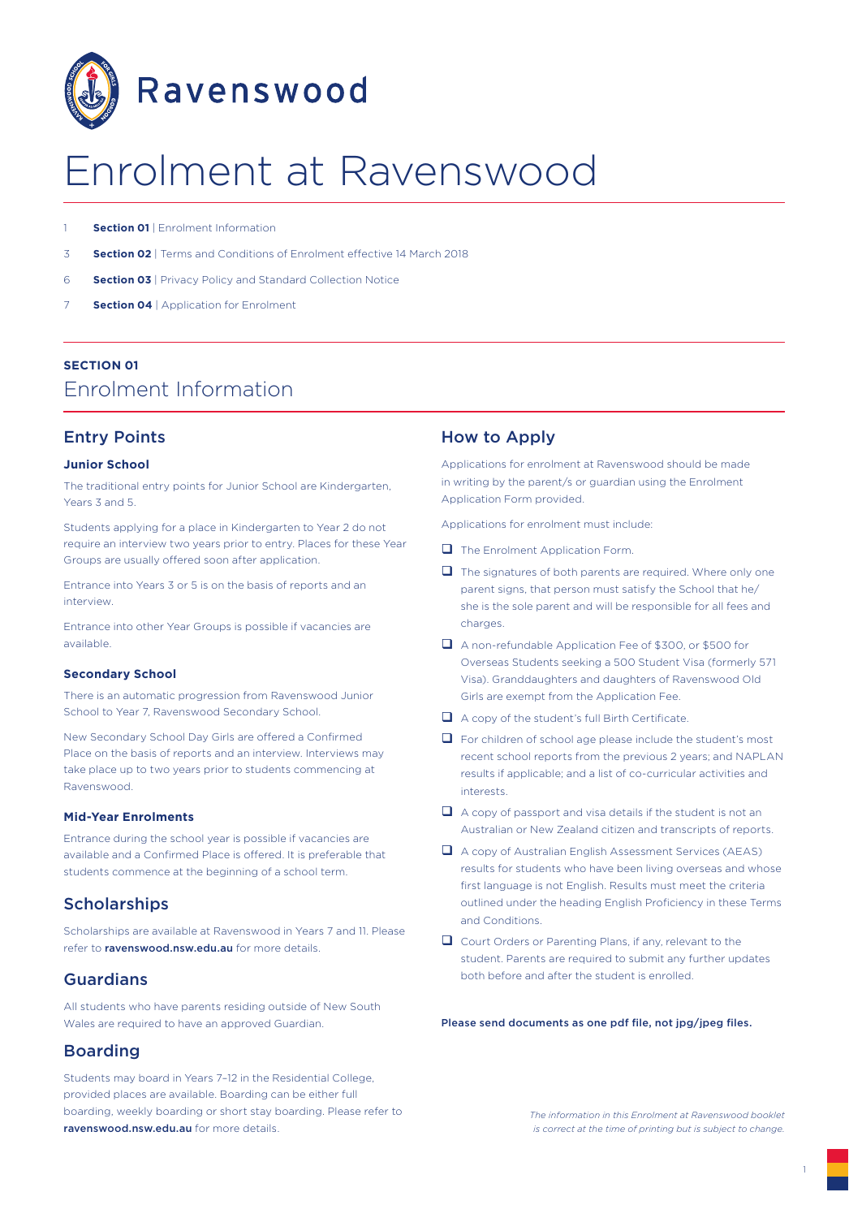

# Enrolment at Ravenswood

- **Section 01** | Enrolment Information
- 3 **Section 02** | Terms and Conditions of Enrolment effective 14 March 2018
- 6 **Section 03** | Privacy Policy and Standard Collection Notice
- **Section 04** | Application for Enrolment

## **SECTION 01** Enrolment Information

## Entry Points

#### **Junior School**

The traditional entry points for Junior School are Kindergarten, Years 3 and 5.

Students applying for a place in Kindergarten to Year 2 do not require an interview two years prior to entry. Places for these Year Groups are usually offered soon after application.

Entrance into Years 3 or 5 is on the basis of reports and an interview.

Entrance into other Year Groups is possible if vacancies are available.

#### **Secondary School**

There is an automatic progression from Ravenswood Junior School to Year 7, Ravenswood Secondary School.

New Secondary School Day Girls are offered a Confirmed Place on the basis of reports and an interview. Interviews may take place up to two years prior to students commencing at Ravenswood.

#### **Mid-Year Enrolments**

Entrance during the school year is possible if vacancies are available and a Confirmed Place is offered. It is preferable that students commence at the beginning of a school term.

## **Scholarships**

Scholarships are available at Ravenswood in Years 7 and 11. Please refer to ravenswood.nsw.edu.au for more details.

## Guardians

All students who have parents residing outside of New South Wales are required to have an approved Guardian.

## Boarding

Students may board in Years 7–12 in the Residential College, provided places are available. Boarding can be either full boarding, weekly boarding or short stay boarding. Please refer to ravenswood.nsw.edu.au for more details.

## How to Apply

Applications for enrolment at Ravenswood should be made in writing by the parent/s or guardian using the Enrolment Application Form provided.

Applications for enrolment must include:

- $\Box$  The Enrolment Application Form.
- $\Box$  The signatures of both parents are required. Where only one parent signs, that person must satisfy the School that he/ she is the sole parent and will be responsible for all fees and charges.
- □ A non-refundable Application Fee of \$300, or \$500 for Overseas Students seeking a 500 Student Visa (formerly 571 Visa). Granddaughters and daughters of Ravenswood Old Girls are exempt from the Application Fee.
- $\Box$  A copy of the student's full Birth Certificate.
- $\Box$  For children of school age please include the student's most recent school reports from the previous 2 years; and NAPLAN results if applicable; and a list of co-curricular activities and interests.
- $\Box$  A copy of passport and visa details if the student is not an Australian or New Zealand citizen and transcripts of reports.
- $\Box$  A copy of Australian English Assessment Services (AEAS) results for students who have been living overseas and whose first language is not English. Results must meet the criteria outlined under the heading English Proficiency in these Terms and Conditions.
- $\Box$  Court Orders or Parenting Plans, if any, relevant to the student. Parents are required to submit any further updates both before and after the student is enrolled.

Please send documents as one pdf file, not jpg/jpeg files.

*The information in this Enrolment at Ravenswood booklet is correct at the time of printing but is subject to change.*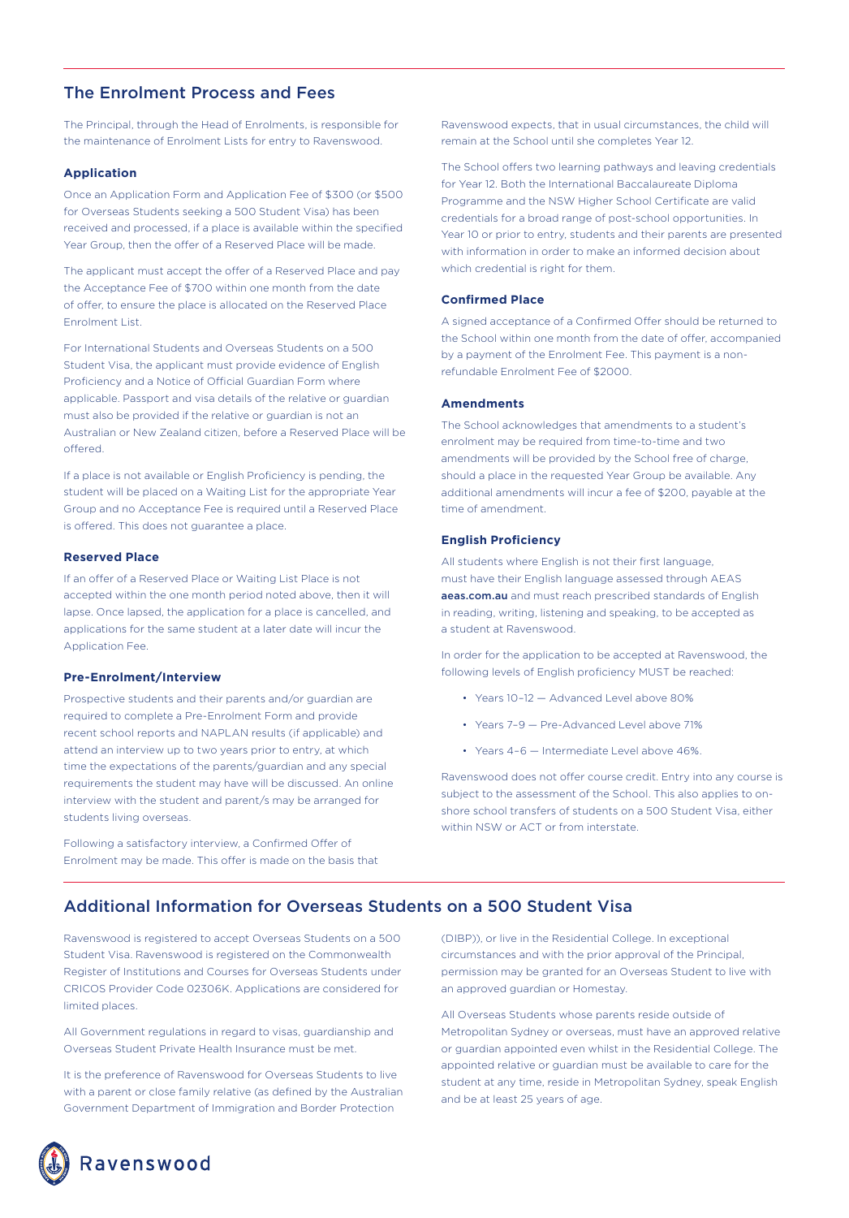## The Enrolment Process and Fees

The Principal, through the Head of Enrolments, is responsible for the maintenance of Enrolment Lists for entry to Ravenswood.

#### **Application**

Once an Application Form and Application Fee of \$300 (or \$500 for Overseas Students seeking a 500 Student Visa) has been received and processed, if a place is available within the specified Year Group, then the offer of a Reserved Place will be made.

The applicant must accept the offer of a Reserved Place and pay the Acceptance Fee of \$700 within one month from the date of offer, to ensure the place is allocated on the Reserved Place Enrolment List.

For International Students and Overseas Students on a 500 Student Visa, the applicant must provide evidence of English Proficiency and a Notice of Official Guardian Form where applicable. Passport and visa details of the relative or guardian must also be provided if the relative or guardian is not an Australian or New Zealand citizen, before a Reserved Place will be offered.

If a place is not available or English Proficiency is pending, the student will be placed on a Waiting List for the appropriate Year Group and no Acceptance Fee is required until a Reserved Place is offered. This does not guarantee a place.

#### **Reserved Place**

If an offer of a Reserved Place or Waiting List Place is not accepted within the one month period noted above, then it will lapse. Once lapsed, the application for a place is cancelled, and applications for the same student at a later date will incur the Application Fee.

#### **Pre-Enrolment/Interview**

Prospective students and their parents and/or guardian are required to complete a Pre-Enrolment Form and provide recent school reports and NAPLAN results (if applicable) and attend an interview up to two years prior to entry, at which time the expectations of the parents/guardian and any special requirements the student may have will be discussed. An online interview with the student and parent/s may be arranged for students living overseas.

Following a satisfactory interview, a Confirmed Offer of Enrolment may be made. This offer is made on the basis that Ravenswood expects, that in usual circumstances, the child will remain at the School until she completes Year 12.

The School offers two learning pathways and leaving credentials for Year 12. Both the International Baccalaureate Diploma Programme and the NSW Higher School Certificate are valid credentials for a broad range of post-school opportunities. In Year 10 or prior to entry, students and their parents are presented with information in order to make an informed decision about which credential is right for them.

#### **Confirmed Place**

A signed acceptance of a Confirmed Offer should be returned to the School within one month from the date of offer, accompanied by a payment of the Enrolment Fee. This payment is a nonrefundable Enrolment Fee of \$2000.

#### **Amendments**

The School acknowledges that amendments to a student's enrolment may be required from time-to-time and two amendments will be provided by the School free of charge, should a place in the requested Year Group be available. Any additional amendments will incur a fee of \$200, payable at the time of amendment.

#### **English Proficiency**

All students where English is not their first language, must have their English language assessed through AEAS aeas.com.au and must reach prescribed standards of English in reading, writing, listening and speaking, to be accepted as a student at Ravenswood.

In order for the application to be accepted at Ravenswood, the following levels of English proficiency MUST be reached:

- Years 10–12 Advanced Level above 80%
- Years 7–9 Pre-Advanced Level above 71%
- Years 4–6 Intermediate Level above 46%.

Ravenswood does not offer course credit. Entry into any course is subject to the assessment of the School. This also applies to onshore school transfers of students on a 500 Student Visa, either within NSW or ACT or from interstate.

## Additional Information for Overseas Students on a 500 Student Visa

Ravenswood is registered to accept Overseas Students on a 500 Student Visa. Ravenswood is registered on the Commonwealth Register of Institutions and Courses for Overseas Students under CRICOS Provider Code 02306K. Applications are considered for limited places.

All Government regulations in regard to visas, guardianship and Overseas Student Private Health Insurance must be met.

It is the preference of Ravenswood for Overseas Students to live with a parent or close family relative (as defined by the Australian Government Department of Immigration and Border Protection

(DIBP)), or live in the Residential College. In exceptional circumstances and with the prior approval of the Principal, permission may be granted for an Overseas Student to live with an approved guardian or Homestay.

All Overseas Students whose parents reside outside of Metropolitan Sydney or overseas, must have an approved relative or guardian appointed even whilst in the Residential College. The appointed relative or guardian must be available to care for the student at any time, reside in Metropolitan Sydney, speak English and be at least 25 years of age.

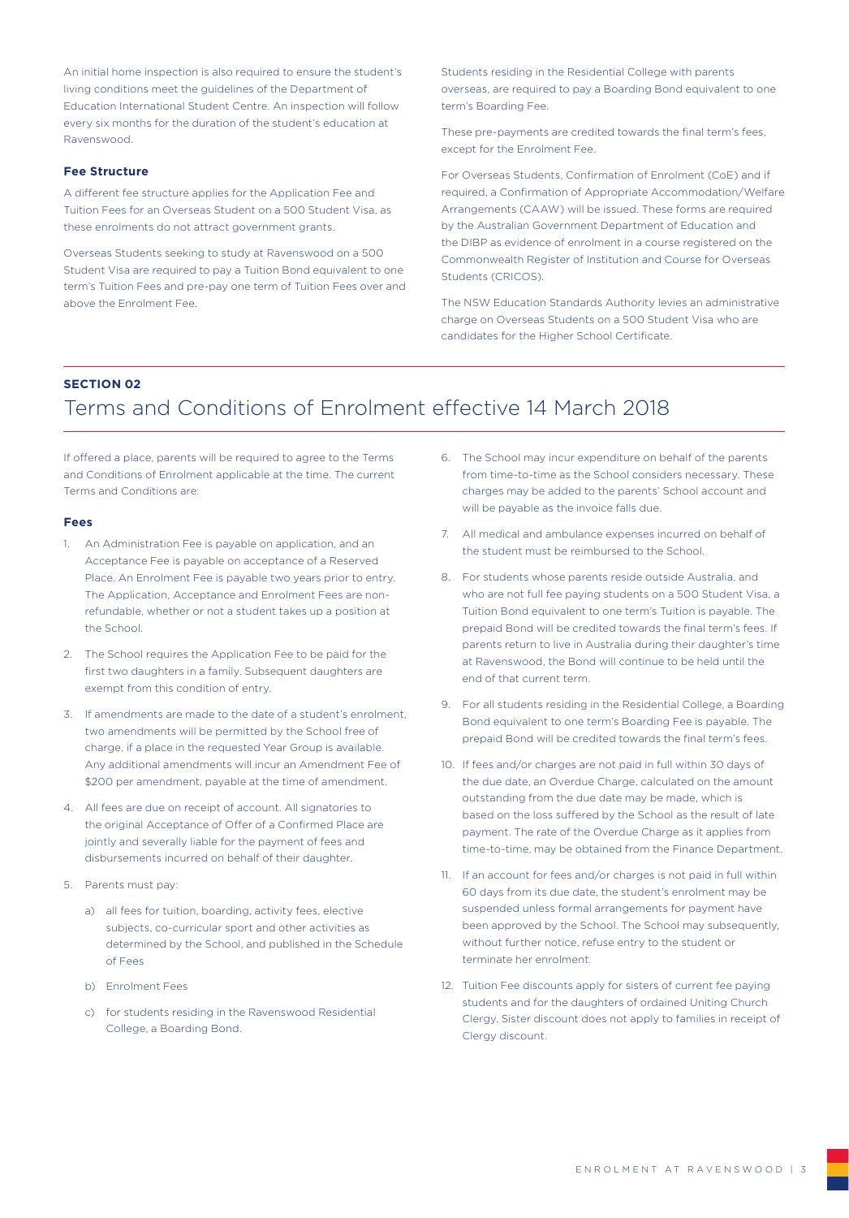An initial home inspection is also required to ensure the student's living conditions meet the guidelines of the Department of Education International Student Centre. An inspection will follow every six months for the duration of the student's education at Ravenswood.

#### **Fee Structure**

A different fee structure applies for the Application Fee and Tuition Fees for an Overseas Student on a 500 Student Visa, as these enrolments do not attract government grants.

Overseas Students seeking to study at Ravenswood on a 500 Student Visa are required to pay a Tuition Bond equivalent to one term's Tuition Fees and pre-pay one term of Tuition Fees over and above the Enrolment Fee.

Students residing in the Residential College with parents overseas, are required to pay a Boarding Bond equivalent to one term's Boarding Fee.

These pre-payments are credited towards the final term's fees, except for the Enrolment Fee.

For Overseas Students, Confirmation of Enrolment (CoE) and if required, a Confirmation of Appropriate Accommodation/Welfare Arrangements (CAAW) will be issued. These forms are required by the Australian Government Department of Education and the DIBP as evidence of enrolment in a course registered on the Commonwealth Register of Institution and Course for Overseas Students (CRICOS).

The NSW Education Standards Authority levies an administrative charge on Overseas Students on a 500 Student Visa who are candidates for the Higher School Certificate.

#### **SECTION 02**

## Terms and Conditions of Enrolment effective 14 March 2018

If offered a place, parents will be required to agree to the Terms and Conditions of Enrolment applicable at the time. The current Terms and Conditions are:

#### **Fees**

- 1. An Administration Fee is payable on application, and an Acceptance Fee is payable on acceptance of a Reserved Place. An Enrolment Fee is payable two years prior to entry. The Application, Acceptance and Enrolment Fees are nonrefundable, whether or not a student takes up a position at the School.
- 2. The School requires the Application Fee to be paid for the first two daughters in a family. Subsequent daughters are exempt from this condition of entry.
- 3. If amendments are made to the date of a student's enrolment, two amendments will be permitted by the School free of charge, if a place in the requested Year Group is available. Any additional amendments will incur an Amendment Fee of \$200 per amendment, payable at the time of amendment.
- 4. All fees are due on receipt of account. All signatories to the original Acceptance of Offer of a Confirmed Place are jointly and severally liable for the payment of fees and disbursements incurred on behalf of their daughter.
- 5. Parents must pay:
	- a) all fees for tuition, boarding, activity fees, elective subjects, co-curricular sport and other activities as determined by the School, and published in the Schedule of Fees
	- b) Enrolment Fees
	- c) for students residing in the Ravenswood Residential College, a Boarding Bond.
- 6. The School may incur expenditure on behalf of the parents from time-to-time as the School considers necessary. These charges may be added to the parents' School account and will be payable as the invoice falls due.
- 7. All medical and ambulance expenses incurred on behalf of the student must be reimbursed to the School.
- 8. For students whose parents reside outside Australia, and who are not full fee paying students on a 500 Student Visa, a Tuition Bond equivalent to one term's Tuition is payable. The prepaid Bond will be credited towards the final term's fees. If parents return to live in Australia during their daughter's time at Ravenswood, the Bond will continue to be held until the end of that current term.
- 9. For all students residing in the Residential College, a Boarding Bond equivalent to one term's Boarding Fee is payable. The prepaid Bond will be credited towards the final term's fees.
- 10. If fees and/or charges are not paid in full within 30 days of the due date, an Overdue Charge, calculated on the amount outstanding from the due date may be made, which is based on the loss suffered by the School as the result of late payment. The rate of the Overdue Charge as it applies from time-to-time, may be obtained from the Finance Department.
- 11. If an account for fees and/or charges is not paid in full within 60 days from its due date, the student's enrolment may be suspended unless formal arrangements for payment have been approved by the School. The School may subsequently, without further notice, refuse entry to the student or terminate her enrolment.
- 12. Tuition Fee discounts apply for sisters of current fee paying students and for the daughters of ordained Uniting Church Clergy. Sister discount does not apply to families in receipt of Clergy discount.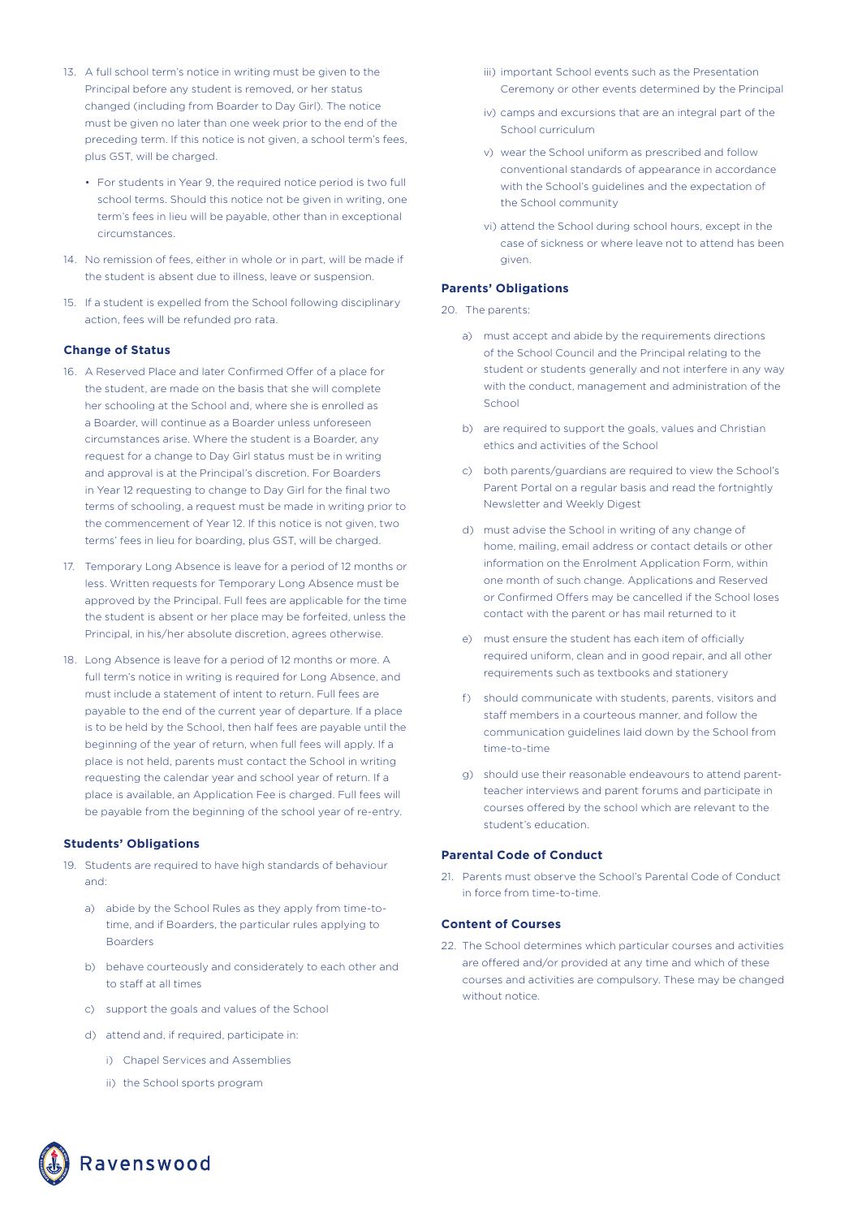- 13. A full school term's notice in writing must be given to the Principal before any student is removed, or her status changed (including from Boarder to Day Girl). The notice must be given no later than one week prior to the end of the preceding term. If this notice is not given, a school term's fees, plus GST, will be charged.
	- For students in Year 9, the required notice period is two full school terms. Should this notice not be given in writing, one term's fees in lieu will be payable, other than in exceptional circumstances.
- 14. No remission of fees, either in whole or in part, will be made if the student is absent due to illness, leave or suspension.
- 15. If a student is expelled from the School following disciplinary action, fees will be refunded pro rata.

#### **Change of Status**

- 16. A Reserved Place and later Confirmed Offer of a place for the student, are made on the basis that she will complete her schooling at the School and, where she is enrolled as a Boarder, will continue as a Boarder unless unforeseen circumstances arise. Where the student is a Boarder, any request for a change to Day Girl status must be in writing and approval is at the Principal's discretion. For Boarders in Year 12 requesting to change to Day Girl for the final two terms of schooling, a request must be made in writing prior to the commencement of Year 12. If this notice is not given, two terms' fees in lieu for boarding, plus GST, will be charged.
- 17. Temporary Long Absence is leave for a period of 12 months or less. Written requests for Temporary Long Absence must be approved by the Principal. Full fees are applicable for the time the student is absent or her place may be forfeited, unless the Principal, in his/her absolute discretion, agrees otherwise.
- 18. Long Absence is leave for a period of 12 months or more. A full term's notice in writing is required for Long Absence, and must include a statement of intent to return. Full fees are payable to the end of the current year of departure. If a place is to be held by the School, then half fees are payable until the beginning of the year of return, when full fees will apply. If a place is not held, parents must contact the School in writing requesting the calendar year and school year of return. If a place is available, an Application Fee is charged. Full fees will be payable from the beginning of the school year of re-entry.

#### **Students' Obligations**

- 19. Students are required to have high standards of behaviour and:
	- a) abide by the School Rules as they apply from time-totime, and if Boarders, the particular rules applying to Boarders
	- b) behave courteously and considerately to each other and to staff at all times
	- c) support the goals and values of the School
	- d) attend and, if required, participate in:
		- i) Chapel Services and Assemblies
		- ii) the School sports program
- iii) important School events such as the Presentation Ceremony or other events determined by the Principal
- iv) camps and excursions that are an integral part of the School curriculum
- v) wear the School uniform as prescribed and follow conventional standards of appearance in accordance with the School's guidelines and the expectation of the School community
- vi) attend the School during school hours, except in the case of sickness or where leave not to attend has been given.

#### **Parents' Obligations**

- 20. The parents:
	- a) must accept and abide by the requirements directions of the School Council and the Principal relating to the student or students generally and not interfere in any way with the conduct, management and administration of the School
	- b) are required to support the goals, values and Christian ethics and activities of the School
	- c) both parents/guardians are required to view the School's Parent Portal on a regular basis and read the fortnightly Newsletter and Weekly Digest
	- d) must advise the School in writing of any change of home, mailing, email address or contact details or other information on the Enrolment Application Form, within one month of such change. Applications and Reserved or Confirmed Offers may be cancelled if the School loses contact with the parent or has mail returned to it
	- e) must ensure the student has each item of officially required uniform, clean and in good repair, and all other requirements such as textbooks and stationery
	- f) should communicate with students, parents, visitors and staff members in a courteous manner, and follow the communication guidelines laid down by the School from time-to-time
	- g) should use their reasonable endeavours to attend parentteacher interviews and parent forums and participate in courses offered by the school which are relevant to the student's education.

#### **Parental Code of Conduct**

21. Parents must observe the School's Parental Code of Conduct in force from time-to-time.

#### **Content of Courses**

22. The School determines which particular courses and activities are offered and/or provided at any time and which of these courses and activities are compulsory. These may be changed without notice.

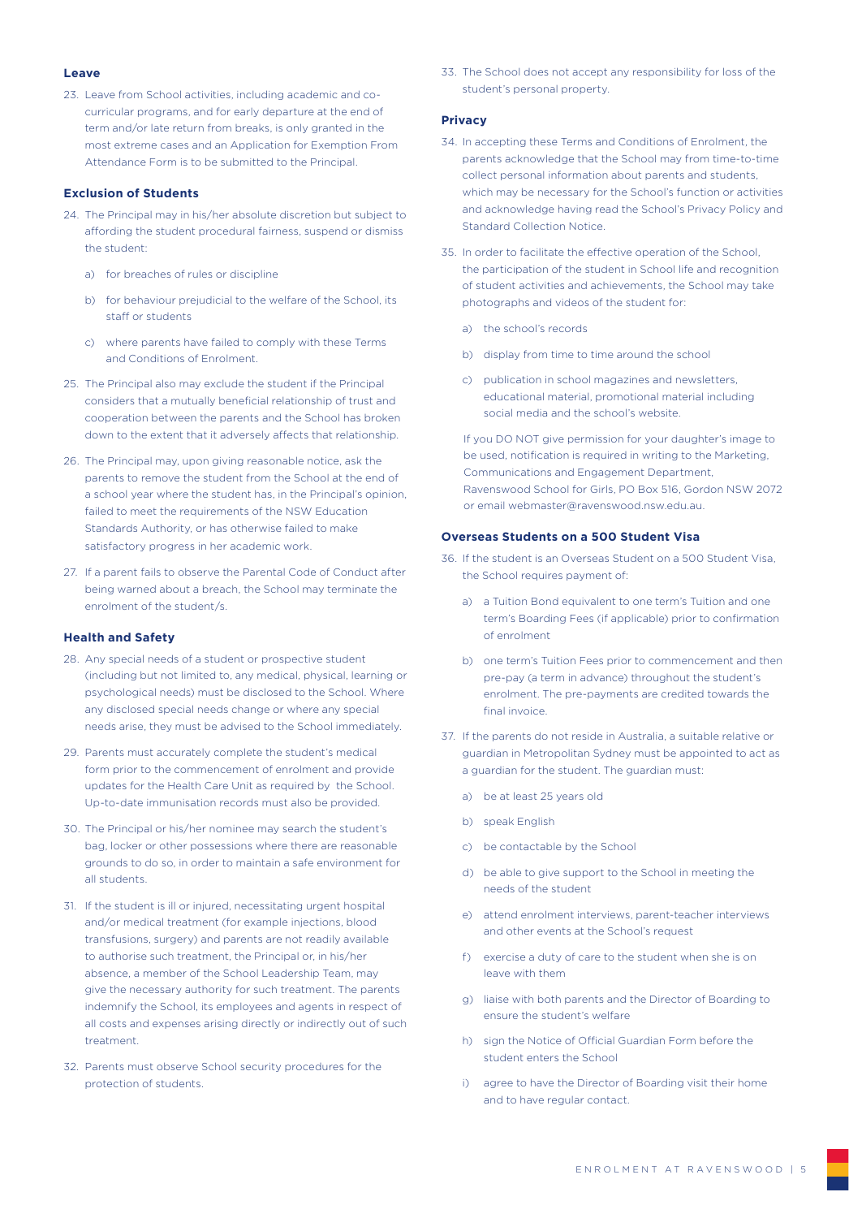#### **Leave**

23. Leave from School activities, including academic and cocurricular programs, and for early departure at the end of term and/or late return from breaks, is only granted in the most extreme cases and an Application for Exemption From Attendance Form is to be submitted to the Principal.

#### **Exclusion of Students**

- 24. The Principal may in his/her absolute discretion but subject to affording the student procedural fairness, suspend or dismiss the student:
	- a) for breaches of rules or discipline
	- b) for behaviour prejudicial to the welfare of the School, its staff or students
	- c) where parents have failed to comply with these Terms and Conditions of Enrolment.
- 25. The Principal also may exclude the student if the Principal considers that a mutually beneficial relationship of trust and cooperation between the parents and the School has broken down to the extent that it adversely affects that relationship.
- 26. The Principal may, upon giving reasonable notice, ask the parents to remove the student from the School at the end of a school year where the student has, in the Principal's opinion, failed to meet the requirements of the NSW Education Standards Authority, or has otherwise failed to make satisfactory progress in her academic work.
- 27. If a parent fails to observe the Parental Code of Conduct after being warned about a breach, the School may terminate the enrolment of the student/s.

#### **Health and Safety**

- 28. Any special needs of a student or prospective student (including but not limited to, any medical, physical, learning or psychological needs) must be disclosed to the School. Where any disclosed special needs change or where any special needs arise, they must be advised to the School immediately.
- 29. Parents must accurately complete the student's medical form prior to the commencement of enrolment and provide updates for the Health Care Unit as required by the School. Up-to-date immunisation records must also be provided.
- 30. The Principal or his/her nominee may search the student's bag, locker or other possessions where there are reasonable grounds to do so, in order to maintain a safe environment for all students.
- 31. If the student is ill or injured, necessitating urgent hospital and/or medical treatment (for example injections, blood transfusions, surgery) and parents are not readily available to authorise such treatment, the Principal or, in his/her absence, a member of the School Leadership Team, may give the necessary authority for such treatment. The parents indemnify the School, its employees and agents in respect of all costs and expenses arising directly or indirectly out of such treatment.
- 32. Parents must observe School security procedures for the protection of students.

33. The School does not accept any responsibility for loss of the student's personal property.

#### **Privacy**

- 34. In accepting these Terms and Conditions of Enrolment, the parents acknowledge that the School may from time-to-time collect personal information about parents and students, which may be necessary for the School's function or activities and acknowledge having read the School's Privacy Policy and Standard Collection Notice.
- 35. In order to facilitate the effective operation of the School, the participation of the student in School life and recognition of student activities and achievements, the School may take photographs and videos of the student for:
	- a) the school's records
	- b) display from time to time around the school
	- c) publication in school magazines and newsletters, educational material, promotional material including social media and the school's website.

If you DO NOT give permission for your daughter's image to be used, notification is required in writing to the Marketing, Communications and Engagement Department, Ravenswood School for Girls, PO Box 516, Gordon NSW 2072 or email webmaster@ravenswood.nsw.edu.au.

#### **Overseas Students on a 500 Student Visa**

- 36. If the student is an Overseas Student on a 500 Student Visa, the School requires payment of:
	- a) a Tuition Bond equivalent to one term's Tuition and one term's Boarding Fees (if applicable) prior to confirmation of enrolment
	- b) one term's Tuition Fees prior to commencement and then pre-pay (a term in advance) throughout the student's enrolment. The pre-payments are credited towards the final invoice.
- 37. If the parents do not reside in Australia, a suitable relative or guardian in Metropolitan Sydney must be appointed to act as a guardian for the student. The guardian must:
	- a) be at least 25 years old
	- b) speak English
	- c) be contactable by the School
	- d) be able to give support to the School in meeting the needs of the student
	- e) attend enrolment interviews, parent-teacher interviews and other events at the School's request
	- f) exercise a duty of care to the student when she is on leave with them
	- g) liaise with both parents and the Director of Boarding to ensure the student's welfare
	- h) sign the Notice of Official Guardian Form before the student enters the School
	- i) agree to have the Director of Boarding visit their home and to have regular contact.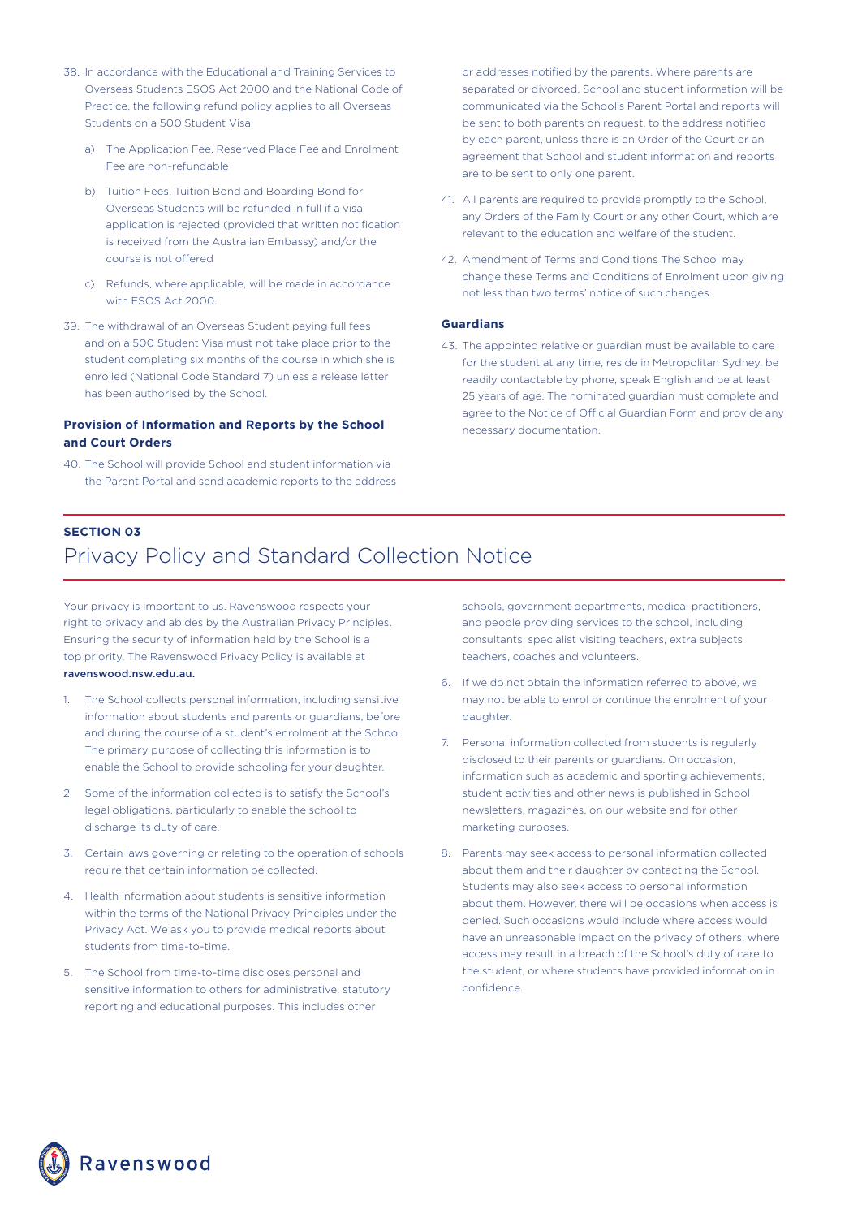- 38. In accordance with the Educational and Training Services to Overseas Students ESOS Act 2000 and the National Code of Practice, the following refund policy applies to all Overseas Students on a 500 Student Visa:
	- a) The Application Fee, Reserved Place Fee and Enrolment Fee are non-refundable
	- b) Tuition Fees, Tuition Bond and Boarding Bond for Overseas Students will be refunded in full if a visa application is rejected (provided that written notification is received from the Australian Embassy) and/or the course is not offered
	- c) Refunds, where applicable, will be made in accordance with ESOS Act 2000.
- 39. The withdrawal of an Overseas Student paying full fees and on a 500 Student Visa must not take place prior to the student completing six months of the course in which she is enrolled (National Code Standard 7) unless a release letter has been authorised by the School.

### **Provision of Information and Reports by the School and Court Orders**

40. The School will provide School and student information via the Parent Portal and send academic reports to the address or addresses notified by the parents. Where parents are separated or divorced, School and student information will be communicated via the School's Parent Portal and reports will be sent to both parents on request, to the address notified by each parent, unless there is an Order of the Court or an agreement that School and student information and reports are to be sent to only one parent.

- 41. All parents are required to provide promptly to the School, any Orders of the Family Court or any other Court, which are relevant to the education and welfare of the student.
- 42. Amendment of Terms and Conditions The School may change these Terms and Conditions of Enrolment upon giving not less than two terms' notice of such changes.

#### **Guardians**

43. The appointed relative or guardian must be available to care for the student at any time, reside in Metropolitan Sydney, be readily contactable by phone, speak English and be at least 25 years of age. The nominated guardian must complete and agree to the Notice of Official Guardian Form and provide any necessary documentation.

## **SECTION 03**

## Privacy Policy and Standard Collection Notice

Your privacy is important to us. Ravenswood respects your right to privacy and abides by the Australian Privacy Principles. Ensuring the security of information held by the School is a top priority. The Ravenswood Privacy Policy is available at ravenswood.nsw.edu.au.

- 1. The School collects personal information, including sensitive information about students and parents or guardians, before and during the course of a student's enrolment at the School. The primary purpose of collecting this information is to enable the School to provide schooling for your daughter.
- 2. Some of the information collected is to satisfy the School's legal obligations, particularly to enable the school to discharge its duty of care.
- 3. Certain laws governing or relating to the operation of schools require that certain information be collected.
- 4. Health information about students is sensitive information within the terms of the National Privacy Principles under the Privacy Act. We ask you to provide medical reports about students from time-to-time.
- 5. The School from time-to-time discloses personal and sensitive information to others for administrative, statutory reporting and educational purposes. This includes other

schools, government departments, medical practitioners, and people providing services to the school, including consultants, specialist visiting teachers, extra subjects teachers, coaches and volunteers.

- 6. If we do not obtain the information referred to above, we may not be able to enrol or continue the enrolment of your daughter.
- 7. Personal information collected from students is regularly disclosed to their parents or guardians. On occasion, information such as academic and sporting achievements, student activities and other news is published in School newsletters, magazines, on our website and for other marketing purposes.
- 8. Parents may seek access to personal information collected about them and their daughter by contacting the School. Students may also seek access to personal information about them. However, there will be occasions when access is denied. Such occasions would include where access would have an unreasonable impact on the privacy of others, where access may result in a breach of the School's duty of care to the student, or where students have provided information in confidence.

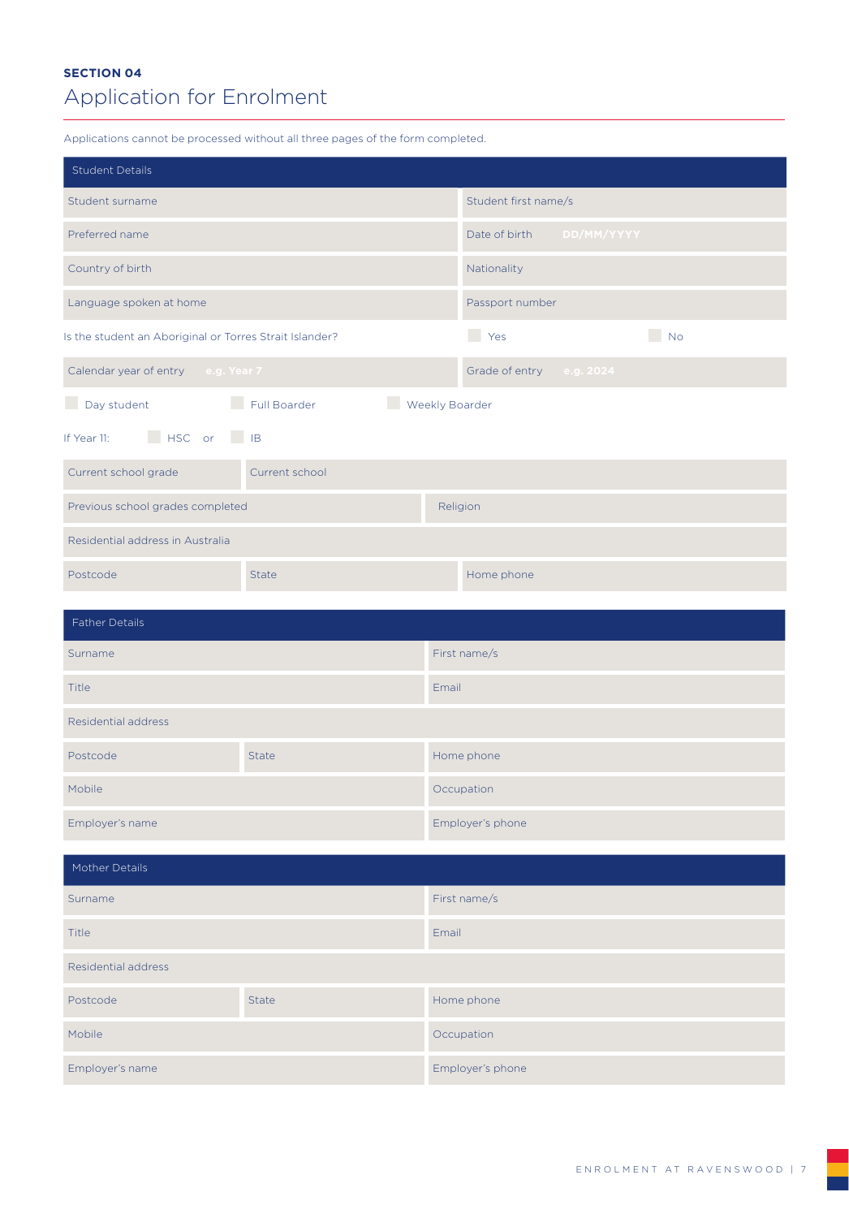## **SECTION 04** Application for Enrolment

Applications cannot be processed without all three pages of the form completed.

| <b>Student Details</b>                                  |                |                      |                          |  |
|---------------------------------------------------------|----------------|----------------------|--------------------------|--|
| Student surname                                         |                | Student first name/s |                          |  |
| Preferred name                                          |                | Date of birth        | DD/MM/YYYY               |  |
| Country of birth                                        |                | Nationality          |                          |  |
| Language spoken at home                                 |                | Passport number      |                          |  |
| Is the student an Aboriginal or Torres Strait Islander? |                | Yes                  | $\Box$ No                |  |
| Calendar year of entry e.g. Year 7                      |                |                      | Grade of entry e.g. 2024 |  |
| Day student Full Boarder<br>Weekly Boarder              |                |                      |                          |  |
| If Year 11: HSC or IB                                   |                |                      |                          |  |
| Current school grade                                    | Current school |                      |                          |  |
| Previous school grades completed                        |                | Religion             |                          |  |
| Residential address in Australia                        |                |                      |                          |  |
| Postcode                                                | <b>State</b>   | Home phone           |                          |  |
| <b>Father Details</b>                                   |                |                      |                          |  |
|                                                         |                |                      |                          |  |
| Surname                                                 |                | First name/s         |                          |  |
| <b>Title</b>                                            |                | Email                |                          |  |
| <b>Residential address</b>                              |                |                      |                          |  |
| Postcode                                                | <b>State</b>   | Home phone           |                          |  |
| Mobile                                                  |                | Occupation           |                          |  |
| Employer's name                                         |                | Employer's phone     |                          |  |
| Mother Details                                          |                |                      |                          |  |
| Surname                                                 |                | First name/s         |                          |  |
| Title                                                   |                | Email                |                          |  |
| <b>Residential address</b>                              |                |                      |                          |  |
| Postcode                                                | <b>State</b>   | Home phone           |                          |  |
| Mobile                                                  |                | Occupation           |                          |  |
| Employer's name                                         |                | Employer's phone     |                          |  |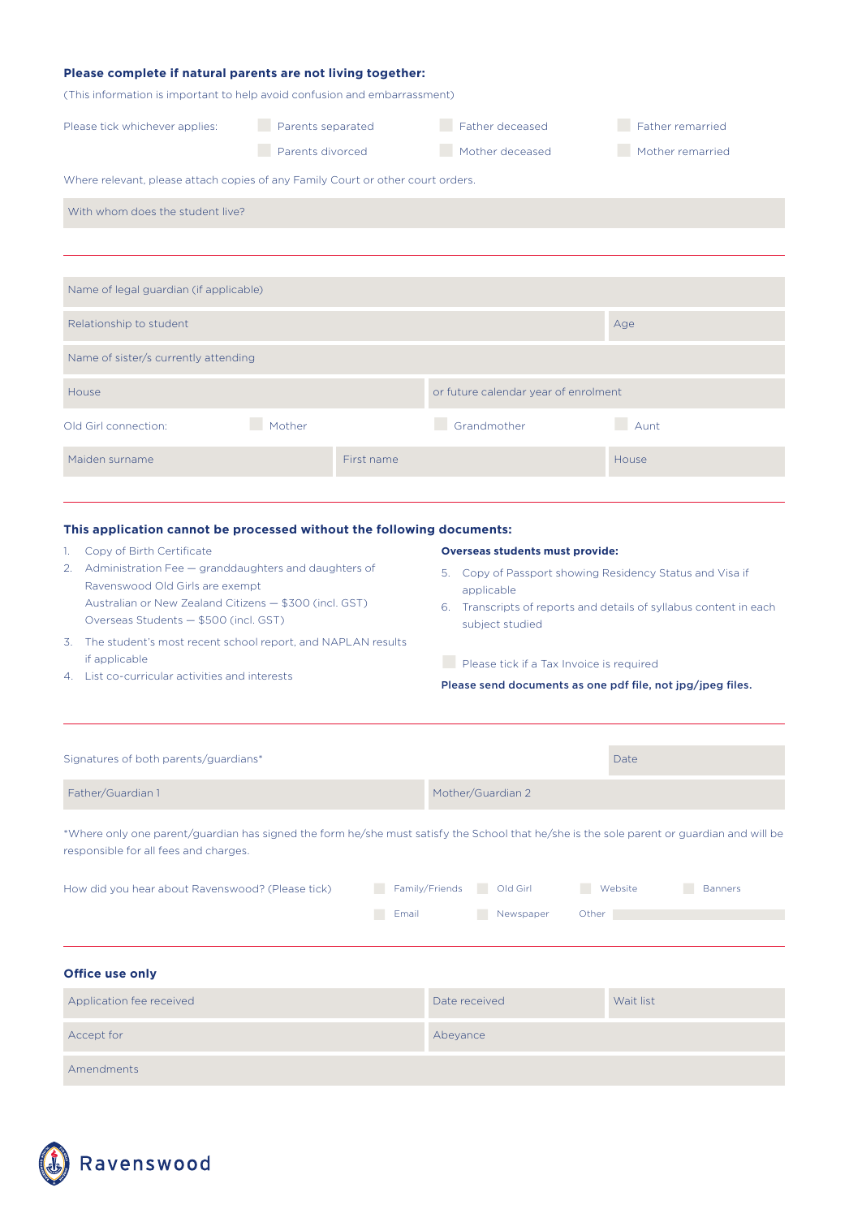| Please complete if natural parents are not living together:                     |                                       |            |                                      |                                      |
|---------------------------------------------------------------------------------|---------------------------------------|------------|--------------------------------------|--------------------------------------|
| (This information is important to help avoid confusion and embarrassment)       |                                       |            |                                      |                                      |
| Please tick whichever applies:                                                  | Parents separated<br>Parents divorced |            | Father deceased<br>Mother deceased   | Father remarried<br>Mother remarried |
| Where relevant, please attach copies of any Family Court or other court orders. |                                       |            |                                      |                                      |
| With whom does the student live?                                                |                                       |            |                                      |                                      |
|                                                                                 |                                       |            |                                      |                                      |
|                                                                                 |                                       |            |                                      |                                      |
| Name of legal guardian (if applicable)                                          |                                       |            |                                      |                                      |
| Relationship to student                                                         |                                       |            |                                      | Age                                  |
| Name of sister/s currently attending                                            |                                       |            |                                      |                                      |
| House                                                                           |                                       |            | or future calendar year of enrolment |                                      |
| Old Girl connection:                                                            | Mother                                |            | Grandmother                          | Aunt                                 |
| Maiden surname                                                                  |                                       | First name |                                      | House                                |

### **This application cannot be processed without the following documents:**

- 1. Copy of Birth Certificate
- 2. Administration Fee granddaughters and daughters of Ravenswood Old Girls are exempt Australian or New Zealand Citizens — \$300 (incl. GST) Overseas Students — \$500 (incl. GST)
- 3. The student's most recent school report, and NAPLAN results if applicable
- 4. List co-curricular activities and interests

#### **Overseas students must provide:**

- 5. Copy of Passport showing Residency Status and Visa if applicable
- 6. Transcripts of reports and details of syllabus content in each subject studied

**Ex Please tick if a Tax Invoice is required** 

#### Please send documents as one pdf file, not jpg/jpeg files.

| Signatures of both parents/guardians*            | Date                                                                                                                                      |
|--------------------------------------------------|-------------------------------------------------------------------------------------------------------------------------------------------|
| Father/Guardian 1                                | Mother/Guardian 2                                                                                                                         |
| responsible for all fees and charges.            | *Where only one parent/guardian has signed the form he/she must satisfy the School that he/she is the sole parent or guardian and will be |
| How did you hear about Ravenswood? (Please tick) | Family/Friends<br>Old Girl<br>- 1<br>Website<br><b>Banners</b>                                                                            |
| Email                                            | Newspaper<br>Other                                                                                                                        |
| <b>Office use only</b>                           |                                                                                                                                           |
| Application fee received                         | Date received<br>Wait list                                                                                                                |
| Accept for                                       | Abeyance                                                                                                                                  |
| Amendments                                       |                                                                                                                                           |

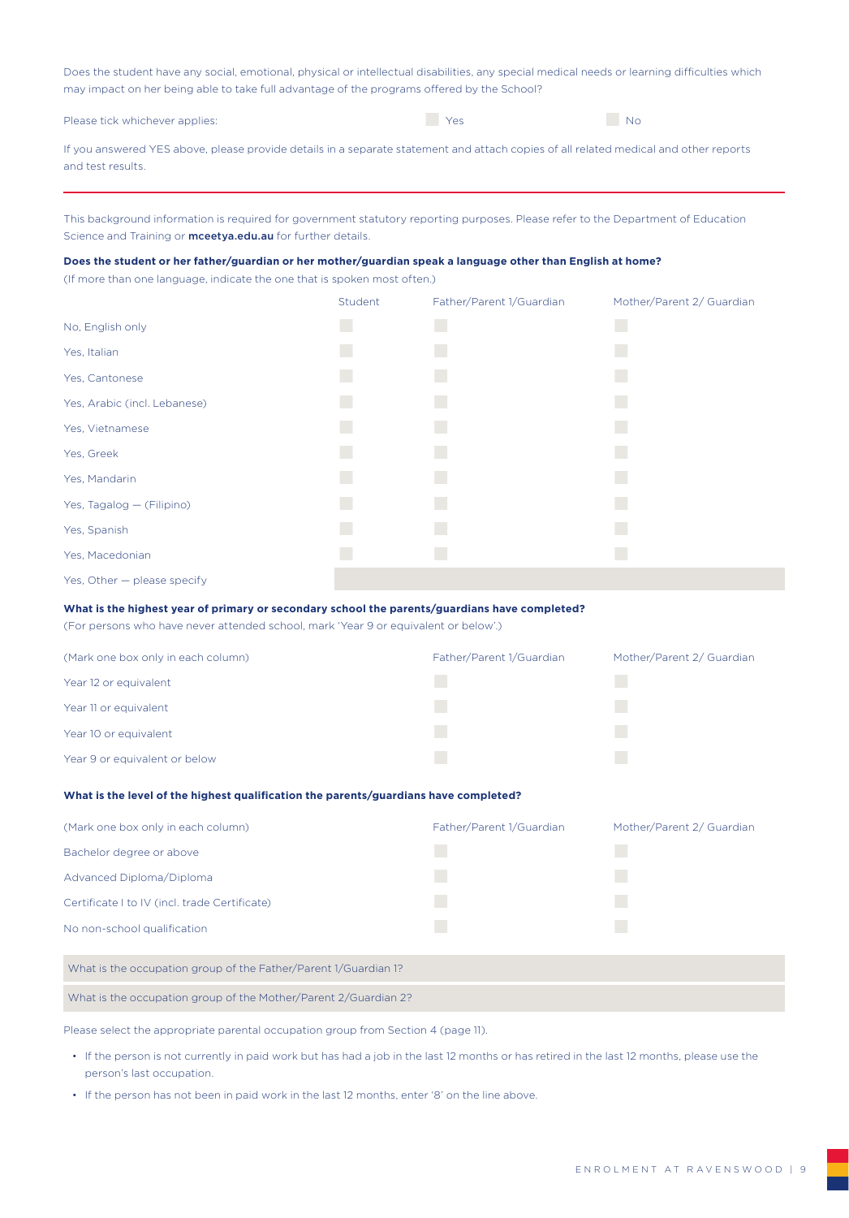Does the student have any social, emotional, physical or intellectual disabilities, any special medical needs or learning difficulties which may impact on her being able to take full advantage of the programs offered by the School?

Please tick whichever applies:  $\blacksquare$  Yes  $\blacksquare$  Yes  $\blacksquare$  No

| If you answered YES above, please provide details in a separate statement and attach copies of all related medical and other reports |  |
|--------------------------------------------------------------------------------------------------------------------------------------|--|
| and test results.                                                                                                                    |  |

This background information is required for government statutory reporting purposes. Please refer to the Department of Education Science and Training or **mceetya.edu.au** for further details.

#### **Does the student or her father/guardian or her mother/guardian speak a language other than English at home?**

(If more than one language, indicate the one that is spoken most often.)

|                              | Student | Father/Parent 1/Guardian | Mother/Parent 2/ Guardian |
|------------------------------|---------|--------------------------|---------------------------|
| No, English only             | I.      | a a                      | L.                        |
| Yes, Italian                 | I.      | k.                       | a l                       |
| Yes, Cantonese               | I.      | a a                      |                           |
| Yes, Arabic (incl. Lebanese) | L.      | a.                       | k.                        |
| Yes, Vietnamese              | L.      | a.                       | k.                        |
| Yes, Greek                   | a l     | r.                       | H.                        |
| Yes, Mandarin                | a.      | a.                       | k.                        |
| Yes, Tagalog - (Filipino)    | L.      | a.                       | H.                        |
| Yes, Spanish                 | a.      | L.                       | k.                        |
| Yes, Macedonian              | I.      | k.                       | l.                        |
| Yes, Other - please specify  |         |                          |                           |

#### **What is the highest year of primary or secondary school the parents/guardians have completed?**

(For persons who have never attended school, mark 'Year 9 or equivalent or below'.)

| (Mark one box only in each column) | Father/Parent 1/Guardian | Mother/Parent 2/ Guardian |
|------------------------------------|--------------------------|---------------------------|
| Year 12 or equivalent              |                          |                           |
| Year 11 or equivalent              |                          |                           |
| Year 10 or equivalent              |                          |                           |
| Year 9 or equivalent or below      |                          |                           |

#### **What is the level of the highest qualification the parents/guardians have completed?**

| (Mark one box only in each column)                              | Father/Parent 1/Guardian | Mother/Parent 2/ Guardian |
|-----------------------------------------------------------------|--------------------------|---------------------------|
| Bachelor degree or above                                        |                          |                           |
| Advanced Diploma/Diploma                                        |                          |                           |
| Certificate I to IV (incl. trade Certificate)                   |                          |                           |
| No non-school qualification                                     |                          |                           |
|                                                                 |                          |                           |
| What is the occupation group of the Father/Parent 1/Guardian 1? |                          |                           |

Please select the appropriate parental occupation group from Section 4 (page 11).

What is the occupation group of the Mother/Parent 2/Guardian 2?

- If the person is not currently in paid work but has had a job in the last 12 months or has retired in the last 12 months, please use the person's last occupation.
- If the person has not been in paid work in the last 12 months, enter '8' on the line above.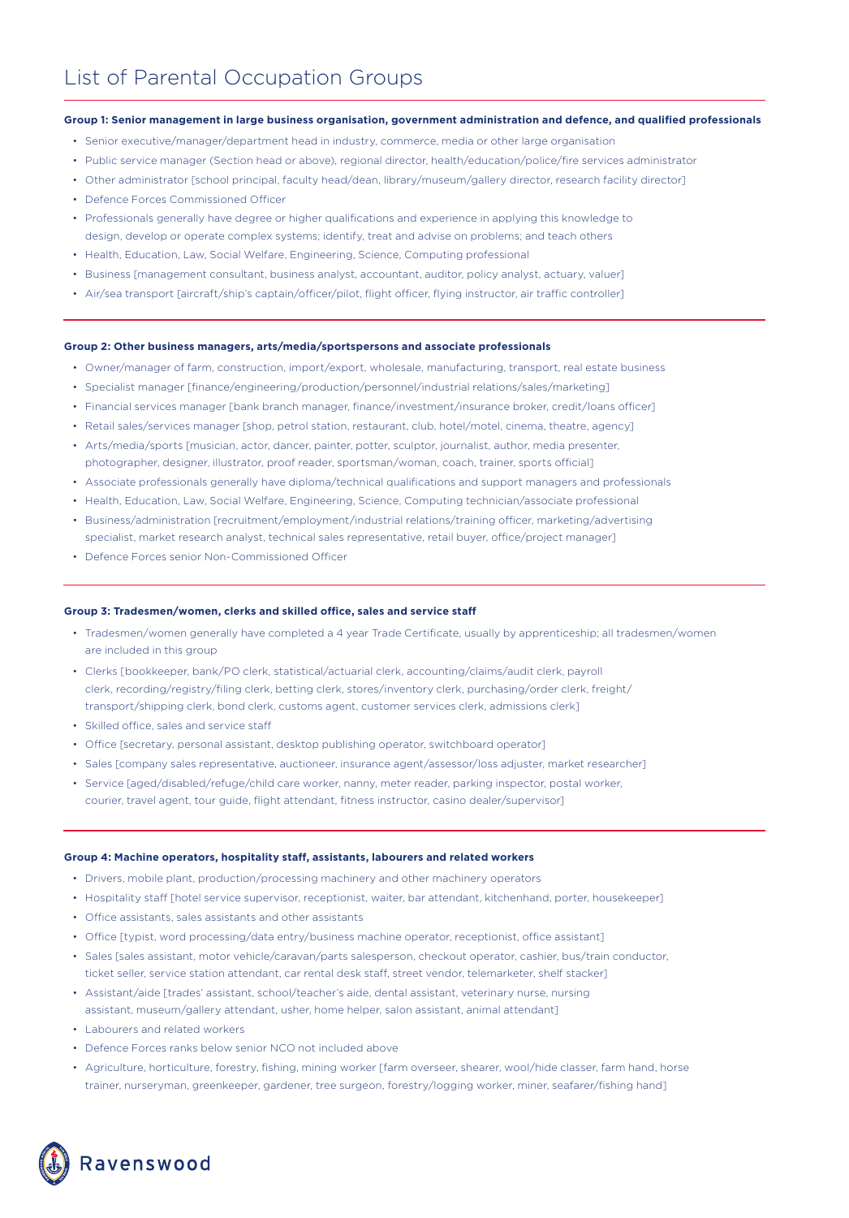#### **Group 1: Senior management in large business organisation, government administration and defence, and qualified professionals**

- Senior executive/manager/department head in industry, commerce, media or other large organisation
- Public service manager (Section head or above), regional director, health/education/police/fire services administrator
- Other administrator [school principal, faculty head/dean, library/museum/gallery director, research facility director]
- Defence Forces Commissioned Officer
- Professionals generally have degree or higher qualifications and experience in applying this knowledge to design, develop or operate complex systems; identify, treat and advise on problems; and teach others
- Health, Education, Law, Social Welfare, Engineering, Science, Computing professional
- Business [management consultant, business analyst, accountant, auditor, policy analyst, actuary, valuer]
- Air/sea transport [aircraft/ship's captain/officer/pilot, flight officer, flying instructor, air traffic controller]

#### **Group 2: Other business managers, arts/media/sportspersons and associate professionals**

- Owner/manager of farm, construction, import/export, wholesale, manufacturing, transport, real estate business
- Specialist manager [finance/engineering/production/personnel/industrial relations/sales/marketing]
- Financial services manager [bank branch manager, finance/investment/insurance broker, credit/loans officer]
- Retail sales/services manager [shop, petrol station, restaurant, club, hotel/motel, cinema, theatre, agency]
- Arts/media/sports [musician, actor, dancer, painter, potter, sculptor, journalist, author, media presenter, photographer, designer, illustrator, proof reader, sportsman/woman, coach, trainer, sports official]
- Associate professionals generally have diploma/technical qualifications and support managers and professionals
- Health, Education, Law, Social Welfare, Engineering, Science, Computing technician/associate professional
- Business/administration [recruitment/employment/industrial relations/training officer, marketing/advertising specialist, market research analyst, technical sales representative, retail buyer, office/project manager]
- Defence Forces senior Non-Commissioned Officer

#### **Group 3: Tradesmen/women, clerks and skilled office, sales and service staff**

- Tradesmen/women generally have completed a 4 year Trade Certificate, usually by apprenticeship; all tradesmen/women are included in this group
- Clerks [bookkeeper, bank/PO clerk, statistical/actuarial clerk, accounting/claims/audit clerk, payroll clerk, recording/registry/filing clerk, betting clerk, stores/inventory clerk, purchasing/order clerk, freight/ transport/shipping clerk, bond clerk, customs agent, customer services clerk, admissions clerk]
- Skilled office, sales and service staff
- Office [secretary, personal assistant, desktop publishing operator, switchboard operator]
- Sales [company sales representative, auctioneer, insurance agent/assessor/loss adjuster, market researcher]
- Service [aged/disabled/refuge/child care worker, nanny, meter reader, parking inspector, postal worker, courier, travel agent, tour guide, flight attendant, fitness instructor, casino dealer/supervisor]

#### **Group 4: Machine operators, hospitality staff, assistants, labourers and related workers**

- Drivers, mobile plant, production/processing machinery and other machinery operators
- Hospitality staff [hotel service supervisor, receptionist, waiter, bar attendant, kitchenhand, porter, housekeeper]
- Office assistants, sales assistants and other assistants
- Office [typist, word processing/data entry/business machine operator, receptionist, office assistant]
- Sales [sales assistant, motor vehicle/caravan/parts salesperson, checkout operator, cashier, bus/train conductor, ticket seller, service station attendant, car rental desk staff, street vendor, telemarketer, shelf stacker]
- Assistant/aide [trades' assistant, school/teacher's aide, dental assistant, veterinary nurse, nursing assistant, museum/gallery attendant, usher, home helper, salon assistant, animal attendant]
- Labourers and related workers
- Defence Forces ranks below senior NCO not included above
- Agriculture, horticulture, forestry, fishing, mining worker [farm overseer, shearer, wool/hide classer, farm hand, horse trainer, nurseryman, greenkeeper, gardener, tree surgeon, forestry/logging worker, miner, seafarer/fishing hand]

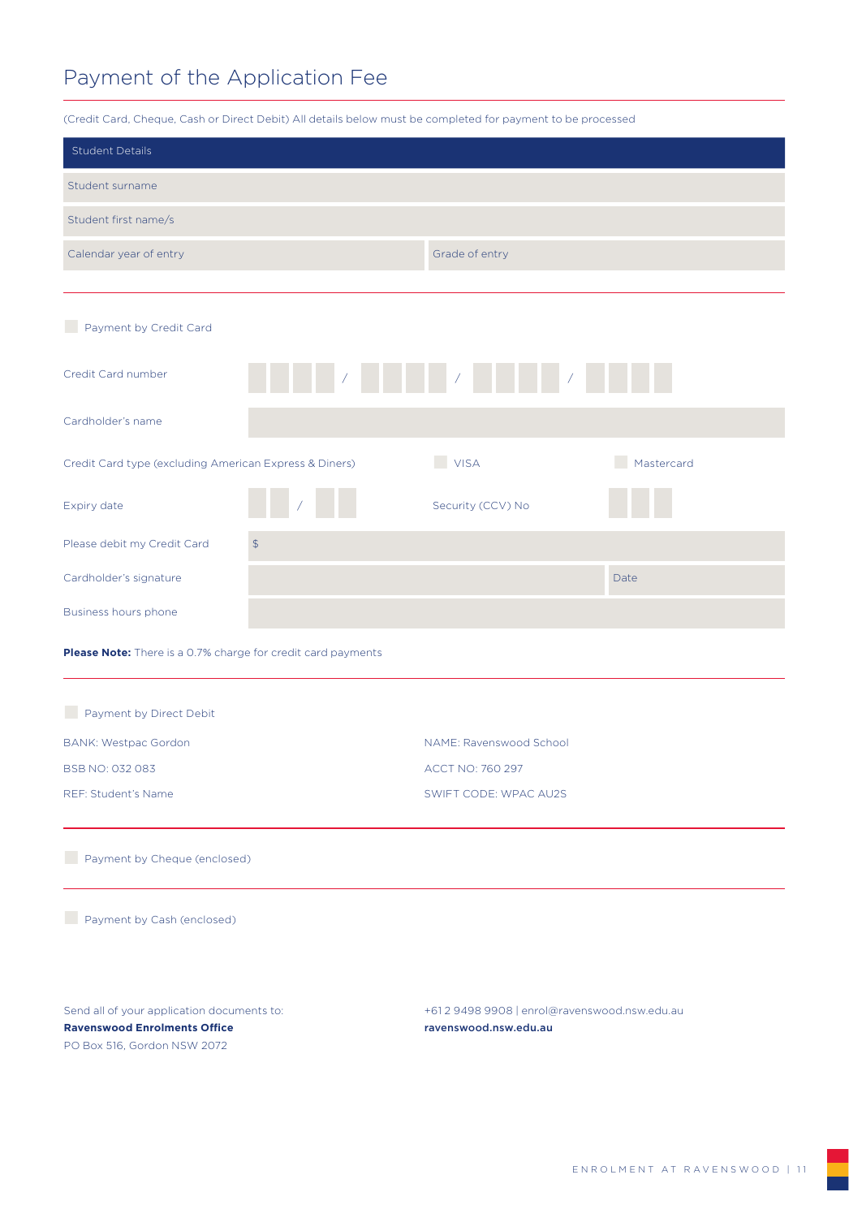## Payment of the Application Fee

| (Credit Card, Cheque, Cash or Direct Debit) All details below must be completed for payment to be processed      |                |                                                                        |            |  |
|------------------------------------------------------------------------------------------------------------------|----------------|------------------------------------------------------------------------|------------|--|
| <b>Student Details</b>                                                                                           |                |                                                                        |            |  |
| Student surname                                                                                                  |                |                                                                        |            |  |
| Student first name/s                                                                                             |                |                                                                        |            |  |
| Calendar year of entry                                                                                           |                | Grade of entry                                                         |            |  |
|                                                                                                                  |                |                                                                        |            |  |
| Payment by Credit Card                                                                                           |                |                                                                        |            |  |
| Credit Card number                                                                                               |                | HELL AND HELL AND HELL AND HELL                                        |            |  |
| Cardholder's name                                                                                                |                |                                                                        |            |  |
| Credit Card type (excluding American Express & Diners)                                                           |                | VISA                                                                   | Mastercard |  |
| <b>Expiry date</b>                                                                                               |                | Security (CCV) No                                                      |            |  |
| Please debit my Credit Card                                                                                      | $\updownarrow$ |                                                                        |            |  |
| Cardholder's signature                                                                                           |                |                                                                        | Date       |  |
| Business hours phone                                                                                             |                |                                                                        |            |  |
| Please Note: There is a 0.7% charge for credit card payments                                                     |                |                                                                        |            |  |
| Payment by Direct Debit                                                                                          |                |                                                                        |            |  |
| <b>BANK: Westpac Gordon</b>                                                                                      |                | NAME: Ravenswood School                                                |            |  |
| BSB NO: 032 083                                                                                                  |                | ACCT NO: 760 297                                                       |            |  |
| REF: Student's Name                                                                                              |                | SWIFT CODE: WPAC AU2S                                                  |            |  |
| Payment by Cheque (enclosed)                                                                                     |                |                                                                        |            |  |
| Payment by Cash (enclosed)                                                                                       |                |                                                                        |            |  |
| Send all of your application documents to:<br><b>Ravenswood Enrolments Office</b><br>PO Box 516, Gordon NSW 2072 |                | +61 2 9498 9908   enrol@ravenswood.nsw.edu.au<br>ravenswood.nsw.edu.au |            |  |